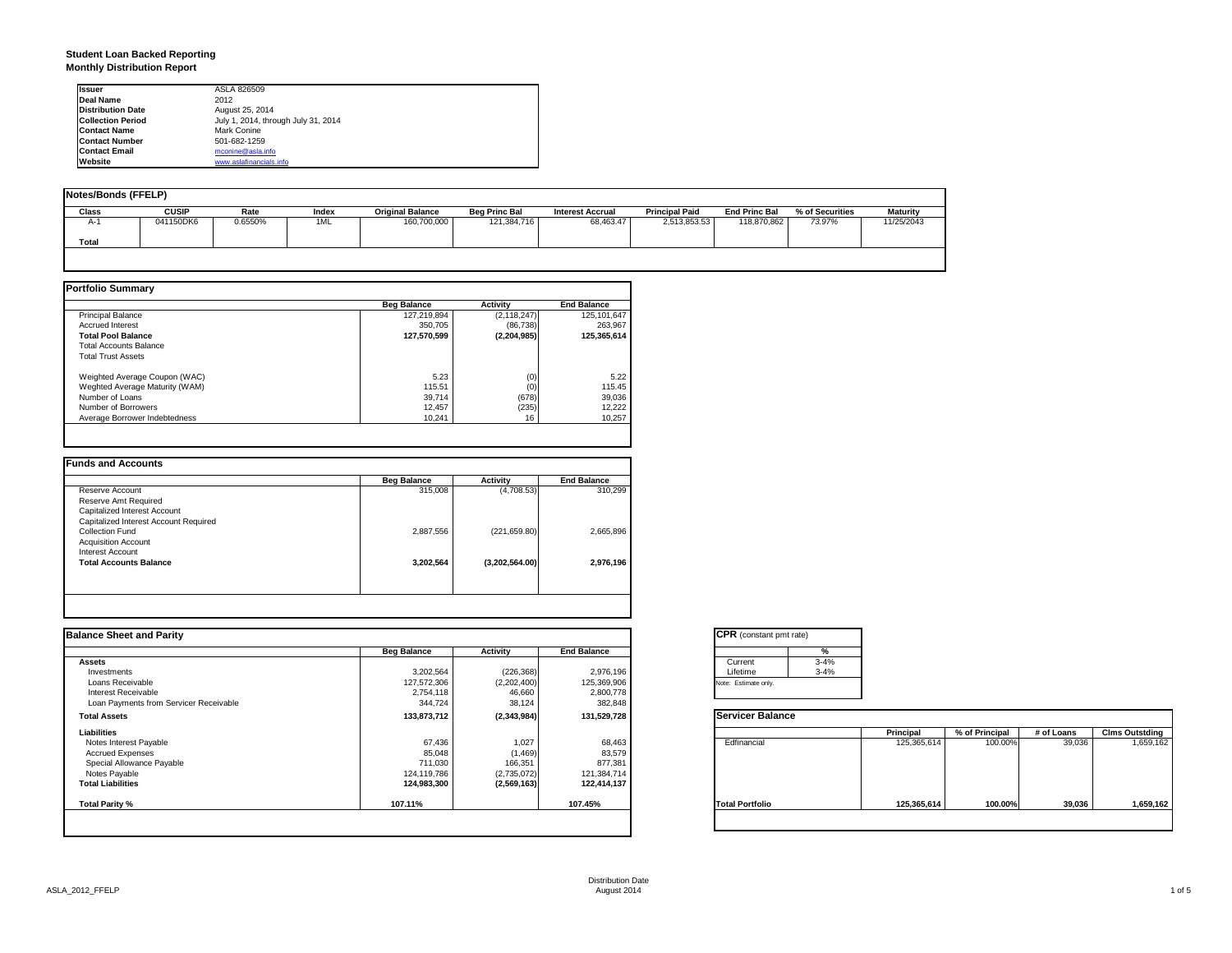#### **Student Loan Backed Reporting Monthly Distribution Report**

| <b>Issuer</b>            | ASLA 826509                         |  |
|--------------------------|-------------------------------------|--|
| Deal Name                | 2012                                |  |
| <b>Distribution Date</b> | August 25, 2014                     |  |
| <b>Collection Period</b> | July 1, 2014, through July 31, 2014 |  |
| <b>Contact Name</b>      | Mark Conine                         |  |
| <b>Contact Number</b>    | 501-682-1259                        |  |
| <b>Contact Email</b>     | mconine@asla.info                   |  |
| Website                  | www.aslafinancials.info             |  |

| Notes/Bonds (FFELP) |              |         |       |                         |                      |                         |                       |                      |                 |                 |
|---------------------|--------------|---------|-------|-------------------------|----------------------|-------------------------|-----------------------|----------------------|-----------------|-----------------|
| <b>Class</b>        | <b>CUSIP</b> | Rate    | Index | <b>Original Balance</b> | <b>Beg Princ Bal</b> | <b>Interest Accrual</b> | <b>Principal Paid</b> | <b>End Princ Bal</b> | % of Securities | <b>Maturity</b> |
| A-1                 | 041150DK6    | 0.6550% | 1ML   | 160,700,000             | 121,384,716          | 68,463.47               | 2,513,853.53          | 118,870,862          | 73.97%          | 11/25/2043      |
| Total               |              |         |       |                         |                      |                         |                       |                      |                 |                 |
|                     |              |         |       |                         |                      |                         |                       |                      |                 |                 |

|                                | <b>Beg Balance</b> | <b>Activity</b> | <b>End Balance</b> |
|--------------------------------|--------------------|-----------------|--------------------|
| <b>Principal Balance</b>       | 127.219.894        | (2, 118, 247)   | 125, 101, 647      |
| <b>Accrued Interest</b>        | 350.705            | (86, 738)       | 263.967            |
| <b>Total Pool Balance</b>      | 127,570,599        | (2,204,985)     | 125,365,614        |
| <b>Total Accounts Balance</b>  |                    |                 |                    |
| <b>Total Trust Assets</b>      |                    |                 |                    |
| Weighted Average Coupon (WAC)  | 5.23               | (0)             | 5.22               |
| Weghted Average Maturity (WAM) | 115.51             | (0)             | 115.45             |
| Number of Loans                | 39.714             | (678)           | 39,036             |
| Number of Borrowers            | 12.457             | (235)           | 12,222             |
| Average Borrower Indebtedness  | 10.241             | 16              | 10,257             |

|                                       | <b>Beg Balance</b> | <b>Activity</b> | <b>End Balance</b> |
|---------------------------------------|--------------------|-----------------|--------------------|
| Reserve Account                       | 315,008            | (4,708.53)      | 310.299            |
| Reserve Amt Required                  |                    |                 |                    |
| Capitalized Interest Account          |                    |                 |                    |
| Capitalized Interest Account Required |                    |                 |                    |
| Collection Fund                       | 2,887,556          | (221, 659.80)   | 2,665,896          |
| <b>Acquisition Account</b>            |                    |                 |                    |
| Interest Account                      |                    |                 |                    |
| <b>Total Accounts Balance</b>         | 3.202.564          | (3,202,564.00)  | 2.976.196          |
|                                       |                    |                 |                    |
|                                       |                    |                 |                    |

| <b>Balance Sheet and Parity</b>        |                    |                 |                    | <b>CPR</b> (constant pmt rate) |             |                |            |                       |
|----------------------------------------|--------------------|-----------------|--------------------|--------------------------------|-------------|----------------|------------|-----------------------|
|                                        | <b>Beg Balance</b> | <b>Activity</b> | <b>End Balance</b> | %                              |             |                |            |                       |
| <b>Assets</b>                          |                    |                 |                    | $3 - 4%$<br>Current            |             |                |            |                       |
| Investments                            | 3,202,564          | (226, 368)      | 2,976,196          | $3 - 4%$<br>Lifetime           |             |                |            |                       |
| Loans Receivable                       | 127,572,306        | (2,202,400)     | 125,369,906        | Note: Estimate only.           |             |                |            |                       |
| Interest Receivable                    | 2,754,118          | 46,660          | 2,800,778          |                                |             |                |            |                       |
| Loan Payments from Servicer Receivable | 344,724            | 38,124          | 382,848            |                                |             |                |            |                       |
| <b>Total Assets</b>                    | 133,873,712        | (2,343,984)     | 131,529,728        | <b>Servicer Balance</b>        |             |                |            |                       |
| Liabilities                            |                    |                 |                    |                                | Principal   | % of Principal | # of Loans | <b>Clms Outstding</b> |
| Notes Interest Payable                 | 67,436             | 1.027           | 68,463             | Edfinancial                    | 125,365,614 | 100.00%        | 39,036     | 1,659,162             |
| <b>Accrued Expenses</b>                | 85,048             | (1, 469)        | 83,579             |                                |             |                |            |                       |
| Special Allowance Payable              | 711,030            | 166,351         | 877,381            |                                |             |                |            |                       |
| Notes Payable                          | 124,119,786        | (2,735,072)     | 121,384,714        |                                |             |                |            |                       |
| <b>Total Liabilities</b>               | 124,983,300        | (2,569,163)     | 122,414,137        |                                |             |                |            |                       |
| Total Parity %                         | 107.11%            |                 | 107.45%            | <b>Total Portfolio</b>         | 125,365,614 | 100.00%        | 39,036     | 1,659,162             |

| <b>CPR</b> (constant pmt rate) |          |
|--------------------------------|----------|
|                                | %        |
| Current                        | $3 - 4%$ |
| Lifetime                       | $3 - 4%$ |
| Note: Estimate only.           |          |

|                        | Principal   | % of Principal | # of Loans | <b>Clms Outstding</b> |  |
|------------------------|-------------|----------------|------------|-----------------------|--|
| Edfinancial            | 125,365,614 | 100.00%        | 39,036     | 1,659,162             |  |
| <b>Total Portfolio</b> | 125,365,614 | 100.00%        | 39,036     | 1,659,162             |  |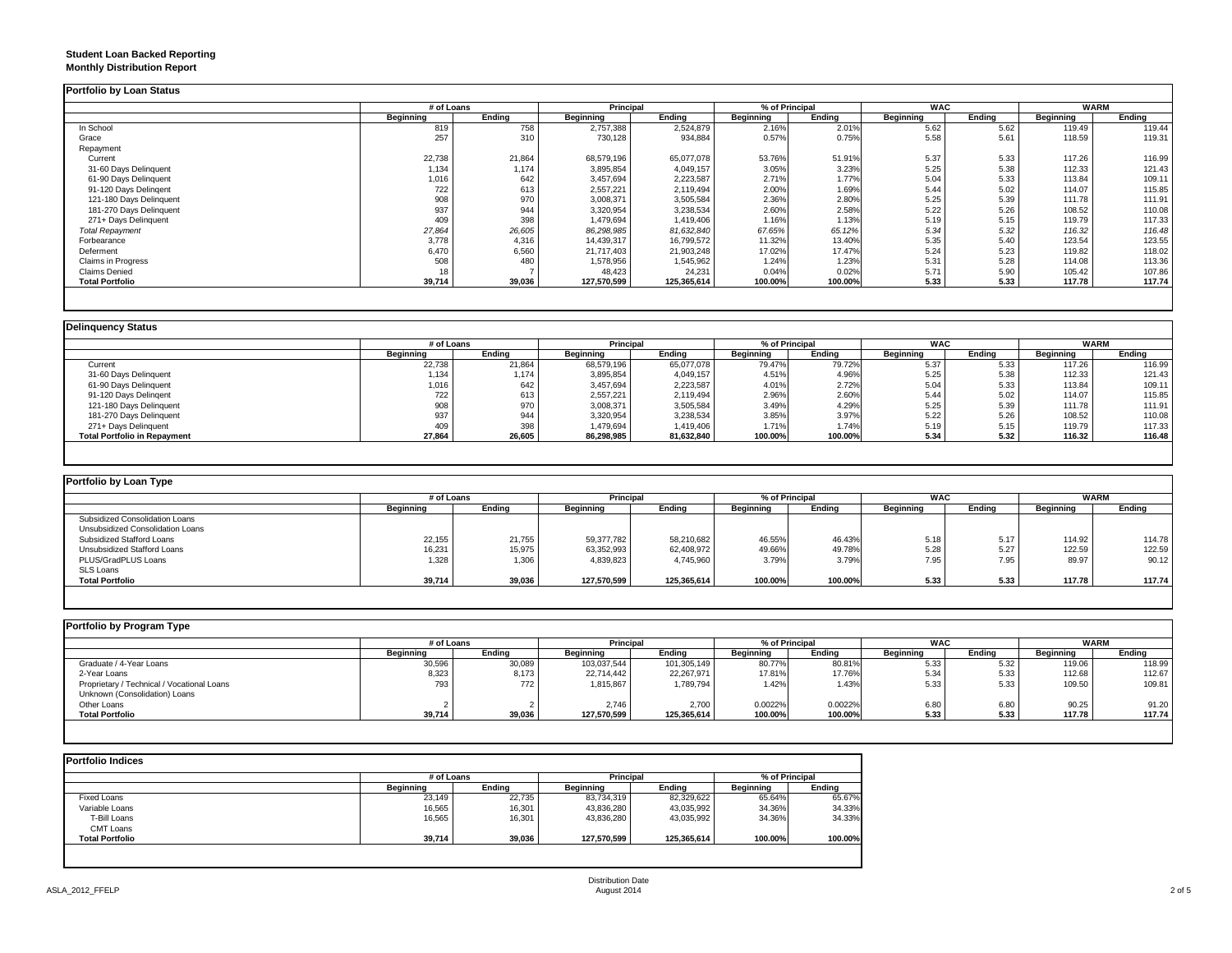#### **Student Loan Backed Reporting Monthly Distribution Report**

|                         | # of Loans |        | Principal   |             | % of Principal |         | <b>WAC</b>       |        | <b>WARM</b>      |        |
|-------------------------|------------|--------|-------------|-------------|----------------|---------|------------------|--------|------------------|--------|
|                         | Beginning  | Ending | Beginning   | Ending      | Beginning      | Ending  | <b>Beginning</b> | Ending | <b>Beginning</b> | Ending |
| In School               | 819        | 758    | 2,757,388   | 2,524,879   | 2.16%          | 2.01%   | 5.62             | 5.62   | 119.49           | 119.44 |
| Grace                   | 257        | 310    | 730,128     | 934,884     | 0.57%          | 0.75%   | 5.58             | 5.61   | 118.59           | 119.31 |
| Repayment               |            |        |             |             |                |         |                  |        |                  |        |
| Current                 | 22,738     | 21,864 | 68,579,196  | 65.077.078  | 53.76%         | 51.91%  | 5.37             | 5.33   | 117.26           | 116.99 |
| 31-60 Days Delinquent   | 1,134      | 1,174  | 3,895,854   | 4,049,157   | 3.05%          | 3.23%   | 5.25             | 5.38   | 112.33           | 121.43 |
| 61-90 Days Delinquent   | 1,016      | 642    | 3,457,694   | 2,223,587   | 2.71%          | 1.77%   | 5.04             | 5.33   | 113.84           | 109.11 |
| 91-120 Days Delingent   | 722        | 613    | 2,557,221   | 2,119,494   | 2.00%          | 1.69%   | 5.44             | 5.02   | 114.07           | 115.85 |
| 121-180 Days Delinquent | 908        | 970    | 3,008,371   | 3,505,584   | 2.36%          | 2.80%   | 5.25             | 5.39   | 111.78           | 111.91 |
| 181-270 Days Delinquent | 937        | 944    | 3,320,954   | 3,238,534   | 2.60%          | 2.58%   | 5.22             | 5.26   | 108.52           | 110.08 |
| 271+ Days Delinquent    | 409        | 398    | 1,479,694   | 1,419,406   | 1.16%          | 1.13%   | 5.19             | 5.15   | 119.79           | 117.33 |
| <b>Total Repayment</b>  | 27,864     | 26,605 | 86,298,985  | 81,632,840  | 67.65%         | 65.12%  | 5.34             | 5.32   | 116.32           | 116.48 |
| Forbearance             | 3,778      | 4,316  | 14,439,317  | 16,799,572  | 11.32%         | 13.40%  | 5.35             | 5.40   | 123.54           | 123.55 |
| Deferment               | 6,470      | 6,560  | 21,717,403  | 21,903,248  | 17.02%         | 17.47%  | 5.24             | 5.23   | 119.82           | 118.02 |
| Claims in Progress      | 508        | 480    | 1,578,956   | 1,545,962   | 1.24%          | 1.23%   | 5.31             | 5.28   | 114.08           | 113.36 |
| Claims Denied           | 18         |        | 48,423      | 24,231      | 0.04%          | 0.02%   | 5.71             | 5.90   | 105.42           | 107.86 |
| <b>Total Portfolio</b>  | 39,714     | 39,036 | 127,570,599 | 125,365,614 | 100.00%        | 100.00% | 5.33             | 5.33   | 117.78           | 117.74 |

|                                     | # of Loans |        | <b>Principal</b> |            | % of Principal |         | <b>WAC</b> |        | <b>WARM</b> |        |
|-------------------------------------|------------|--------|------------------|------------|----------------|---------|------------|--------|-------------|--------|
|                                     | Beainnina  | Endina | Beainnina        | Ending     | Beainnina      | Endina  | Beginning  | Endina | Beginning   | Endina |
| Current                             | 22,738     | 21,864 | 68,579,196       | 65,077,078 | 79.47%         | 79.72%  | 5.37       | 5.33   | 117.26      | 116.99 |
| 31-60 Days Delinquent               | 1,134      | 1,174  | 3,895,854        | 4,049,157  | 4.51%          | 4.96%   | 5.25       | 5.38   | 112.33      | 121.43 |
| 61-90 Days Delinquent               | 1,016      | 642    | 3,457,694        | 2,223,587  | 4.01%          | 2.72%   | 5.04       | 5.33   | 113.84      | 109.11 |
| 91-120 Days Delingent               | 722        | 613    | 2,557,221        | 2,119,494  | 2.96%          | 2.60%   | 5.44       | 5.02   | 114.07      | 115.85 |
| 121-180 Days Delinquent             | 908        | 970    | 3,008,371        | 3,505,584  | 3.49%          | 4.29%   | 5.25       | 5.39   | 111.78      | 111.91 |
| 181-270 Days Delinquent             | 937        | 944    | 3,320,954        | 3,238,534  | 3.85%          | 3.97%   | 5.22       | 5.26   | 108.52      | 110.08 |
| 271+ Days Delinguent                | 409        | 398    | 1,479,694        | 1,419,406  | 1.71%          | 1.74%   | 5.19       | 5.15   | 119.79      | 117.33 |
| <b>Total Portfolio in Repayment</b> | 27,864     | 26,605 | 86,298,985       | 81,632,840 | 100.00%        | 100.00% | 5.34       | 5.32   | 116.32      | 116.48 |

| Portfolio by Loan Type           |            |        |             |             |                |         |                  |        |             |        |
|----------------------------------|------------|--------|-------------|-------------|----------------|---------|------------------|--------|-------------|--------|
|                                  | # of Loans |        | Principal   |             | % of Principal |         | <b>WAC</b>       |        | <b>WARM</b> |        |
|                                  | Beainnina  | Endina | Beginning   | Endina      | Beainnina      | Endina  | <b>Beginning</b> | Endina | Beginning   | Ending |
| Subsidized Consolidation Loans   |            |        |             |             |                |         |                  |        |             |        |
| Unsubsidized Consolidation Loans |            |        |             |             |                |         |                  |        |             |        |
| Subsidized Stafford Loans        | 22,155     | 21,755 | 59,377,782  | 58,210,682  | 46.55%         | 46.43%  | 5.18             | 5.17   | 114.92      | 114.78 |
| Unsubsidized Stafford Loans      | 16,231     | 15,975 | 63,352,993  | 62,408,972  | 49.66%         | 49.78%  | 5.28             | 5.27   | 122.59      | 122.59 |
| PLUS/GradPLUS Loans              | 1,328      | 1,306  | 4,839,823   | 4,745,960   | 3.79%          | 3.79%   | 7.95             | 7.95   | 89.97       | 90.12  |
| SLS Loans                        |            |        |             |             |                |         |                  |        |             |        |
| <b>Total Portfolio</b>           | 39,714     | 39,036 | 127.570.599 | 125,365,614 | 100.00%        | 100.00% | 5.33             | 5.33   | 117.78      | 117.74 |

| Portfolio by Program Type                  |                  |        |             |             |                |         |                  |        |                  |        |
|--------------------------------------------|------------------|--------|-------------|-------------|----------------|---------|------------------|--------|------------------|--------|
|                                            | # of Loans       |        | Principal   |             | % of Principal |         | <b>WAC</b>       |        | <b>WARM</b>      |        |
|                                            | <b>Beginning</b> | Endina | Beginning   | Endina      | Beainnina      | Ending  | <b>Beginning</b> | Endina | <b>Beginning</b> | Ending |
| Graduate / 4-Year Loans                    | 30,596           | 30,089 | 103,037,544 | 101,305,149 | 80.77%         | 80.81%  | 5.33             | 5.32   | 119.06           | 118.99 |
| 2-Year Loans                               | 8,323            | 8,173  | 22,714,442  | 22,267,971  | 17.81%         | 17.76%  | 5.34             | 5.33   | 112.68           | 112.67 |
| Proprietary / Technical / Vocational Loans | 793              | 772    | 1,815,867   | 1,789,794   | 1.42%          | 1.43%   | 5.33             | 5.33   | 109.50           | 109.81 |
| Unknown (Consolidation) Loans              |                  |        |             |             |                |         |                  |        |                  |        |
| Other Loans                                |                  |        | 2.746       | 2,700       | 0.0022%        | 0.0022% | 6.80             | 6.80   | 90.25            | 91.20  |
| <b>Total Portfolio</b>                     | 39,714           | 39,036 | 127,570,599 | 125,365,614 | 100.00%        | 100.00% | 5.33             | 5.33   | 117.78           | 117.74 |
|                                            |                  |        |             |             |                |         |                  |        |                  |        |

| <b>Portfolio Indices</b> |            |        |             |             |                |         |  |
|--------------------------|------------|--------|-------------|-------------|----------------|---------|--|
|                          | # of Loans |        | Principal   |             | % of Principal |         |  |
|                          | Beginning  | Endina | Beginning   | Endina      | Beginning      | Endina  |  |
| Fixed Loans              | 23,149     | 22,735 | 83,734,319  | 82,329,622  | 65.64%         | 65.67%  |  |
| Variable Loans           | 16,565     | 16,301 | 43,836,280  | 43,035,992  | 34.36%         | 34.33%  |  |
| T-Bill Loans             | 16,565     | 16,301 | 43,836,280  | 43,035,992  | 34.36%         | 34.33%  |  |
| <b>CMT Loans</b>         |            |        |             |             |                |         |  |
| <b>Total Portfolio</b>   | 39,714     | 39,036 | 127,570,599 | 125,365,614 | 100.00%        | 100.00% |  |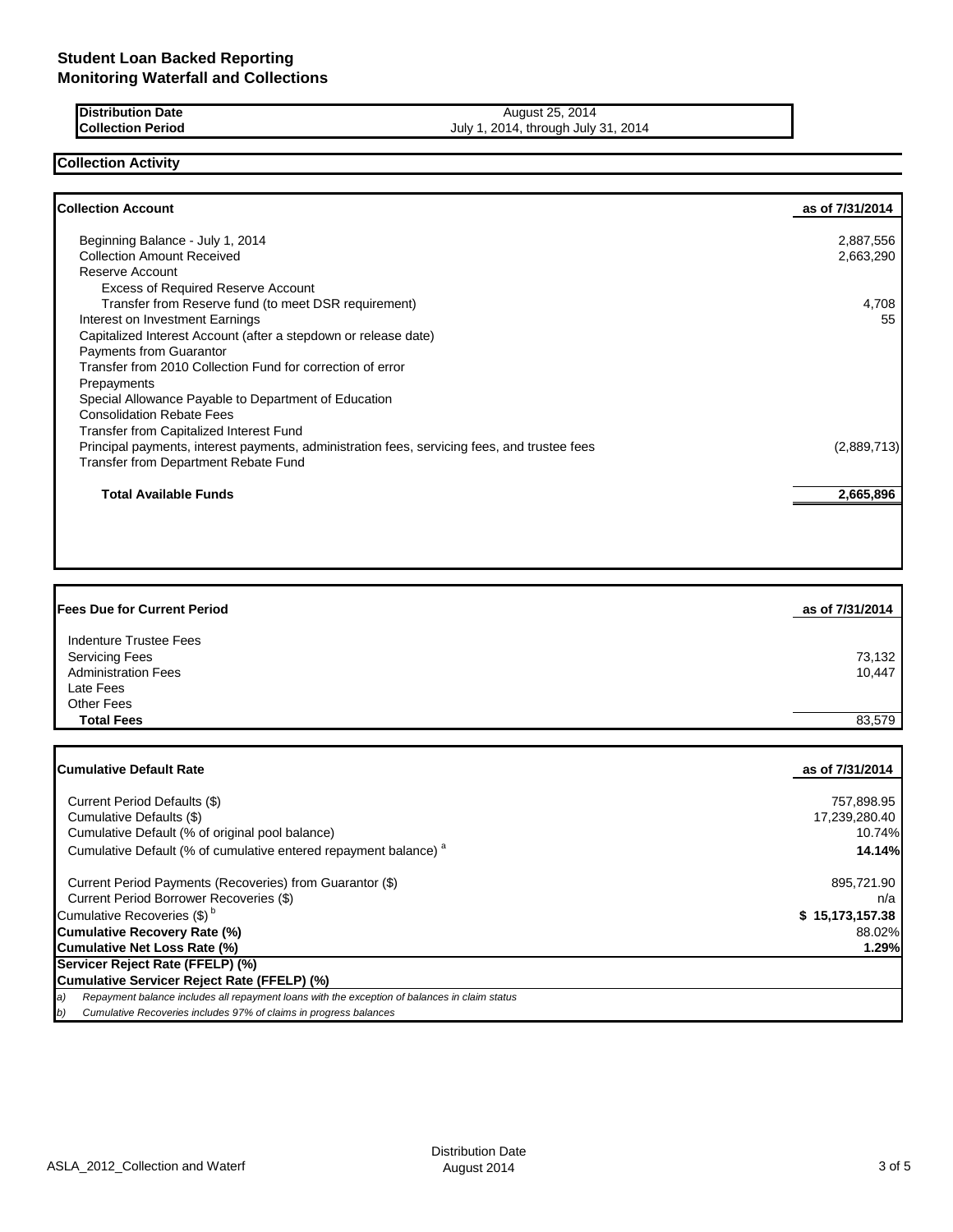| <b>IDistribution Date</b> | August 25, 2014                           |
|---------------------------|-------------------------------------------|
| <b>Collection Period</b>  | July<br>July 31, 2014<br>2014.<br>through |

### **Collection Activity**

| as of 7/31/2014 |
|-----------------|
| 2,887,556       |
| 2,663,290       |
|                 |
|                 |
| 4,708           |
| 55              |
|                 |
|                 |
|                 |
|                 |
|                 |
|                 |
|                 |
| (2,889,713)     |
|                 |
| 2,665,896       |
|                 |

| <b>Fees Due for Current Period</b> | as of 7/31/2014 |
|------------------------------------|-----------------|
| Indenture Trustee Fees             |                 |
| <b>Servicing Fees</b>              | 73,132          |
| <b>Administration Fees</b>         | 10.447          |
| Late Fees                          |                 |
| <b>Other Fees</b>                  |                 |
| <b>Total Fees</b>                  | 83,579          |

| <b>ICumulative Default Rate</b>                                                                     | as of 7/31/2014 |
|-----------------------------------------------------------------------------------------------------|-----------------|
|                                                                                                     |                 |
| Current Period Defaults (\$)                                                                        | 757,898.95      |
| Cumulative Defaults (\$)                                                                            | 17.239.280.40   |
| Cumulative Default (% of original pool balance)                                                     | 10.74%          |
| Cumulative Default (% of cumulative entered repayment balance) <sup>a</sup>                         | 14.14%          |
| Current Period Payments (Recoveries) from Guarantor (\$)                                            | 895,721.90      |
| Current Period Borrower Recoveries (\$)                                                             | n/a             |
| Cumulative Recoveries (\$) <sup>b</sup>                                                             | \$15,173,157.38 |
| Cumulative Recovery Rate (%)                                                                        | 88.02%          |
| Cumulative Net Loss Rate (%)                                                                        | 1.29%           |
| Servicer Reject Rate (FFELP) (%)                                                                    |                 |
| Cumulative Servicer Reject Rate (FFELP) (%)                                                         |                 |
| Repayment balance includes all repayment loans with the exception of balances in claim status<br>a) |                 |
| b)<br>Cumulative Recoveries includes 97% of claims in progress balances                             |                 |

 $\Gamma$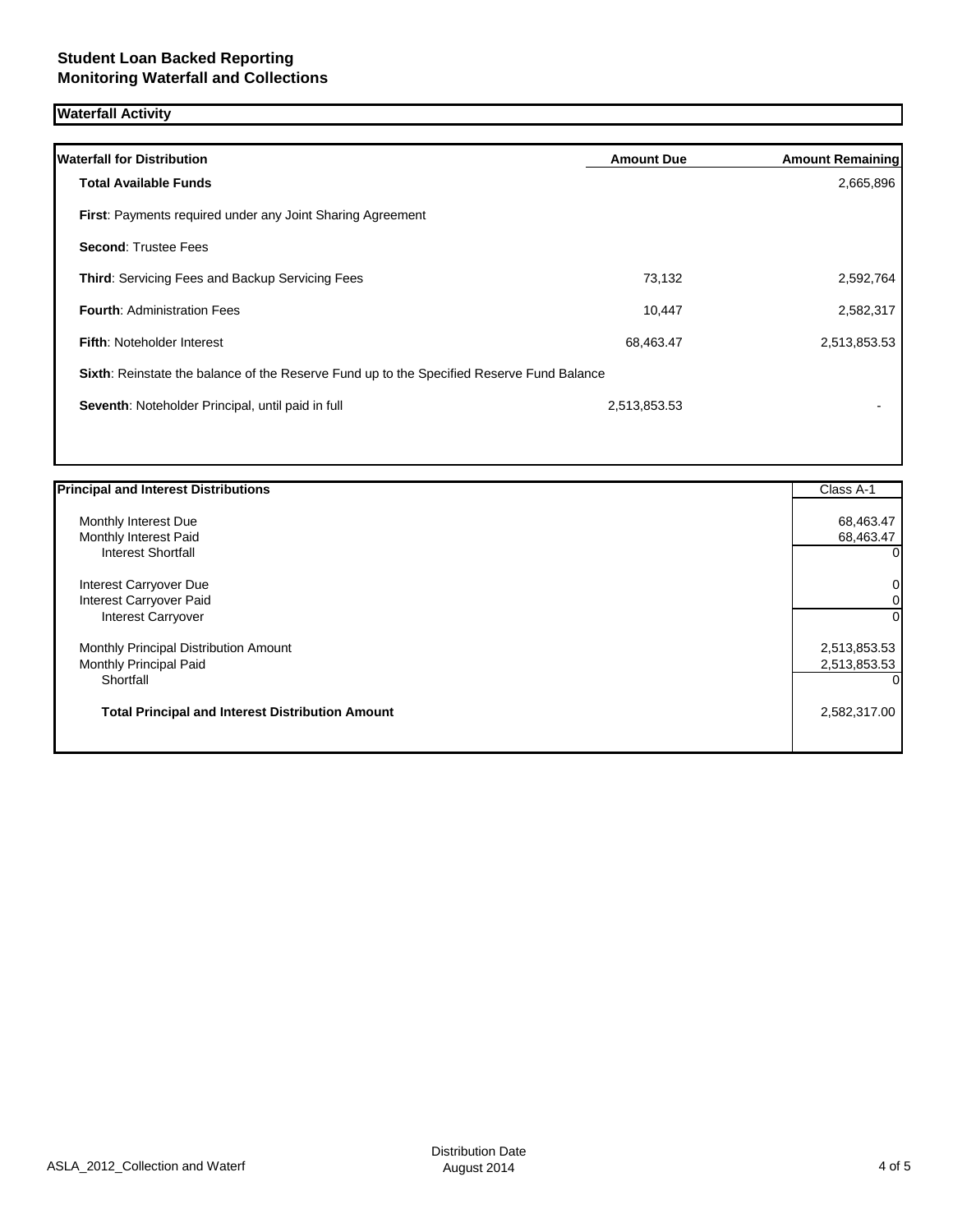# **Waterfall Activity**

| <b>Waterfall for Distribution</b>                                                         | <b>Amount Due</b> | <b>Amount Remaining</b> |
|-------------------------------------------------------------------------------------------|-------------------|-------------------------|
| <b>Total Available Funds</b>                                                              |                   | 2,665,896               |
| <b>First:</b> Payments required under any Joint Sharing Agreement                         |                   |                         |
| <b>Second: Trustee Fees</b>                                                               |                   |                         |
| <b>Third: Servicing Fees and Backup Servicing Fees</b>                                    | 73,132            | 2,592,764               |
| <b>Fourth: Administration Fees</b>                                                        | 10,447            | 2,582,317               |
| <b>Fifth: Noteholder Interest</b>                                                         | 68,463.47         | 2,513,853.53            |
| Sixth: Reinstate the balance of the Reserve Fund up to the Specified Reserve Fund Balance |                   |                         |
| Seventh: Noteholder Principal, until paid in full                                         | 2,513,853.53      |                         |
|                                                                                           |                   |                         |

| <b>Principal and Interest Distributions</b>             | Class A-1    |
|---------------------------------------------------------|--------------|
| Monthly Interest Due                                    | 68,463.47    |
| Monthly Interest Paid                                   | 68,463.47    |
| <b>Interest Shortfall</b>                               | 01           |
| Interest Carryover Due                                  | 0            |
| Interest Carryover Paid                                 | 0            |
| <b>Interest Carryover</b>                               | 0            |
| Monthly Principal Distribution Amount                   | 2,513,853.53 |
| Monthly Principal Paid                                  | 2,513,853.53 |
| Shortfall                                               |              |
| <b>Total Principal and Interest Distribution Amount</b> | 2,582,317.00 |
|                                                         |              |